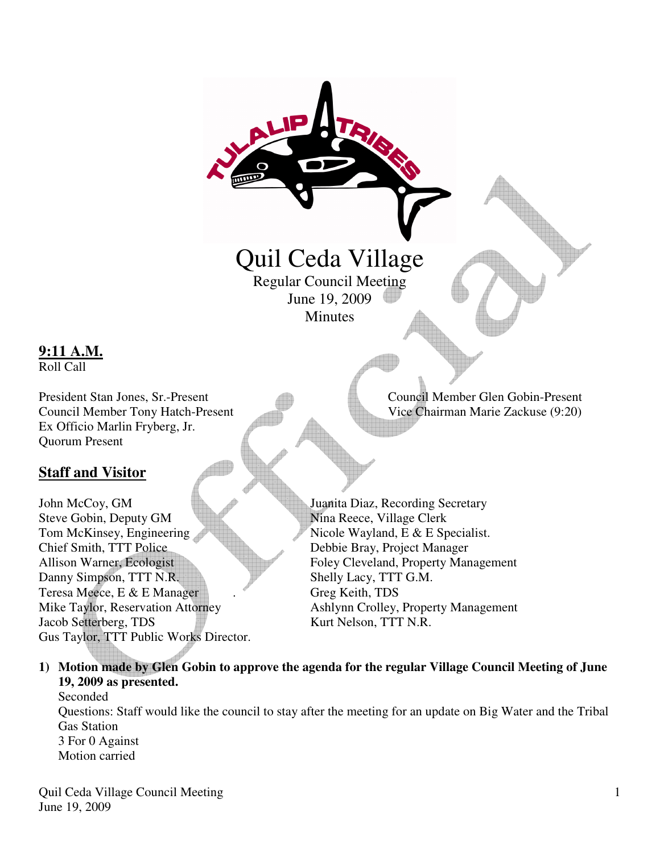

**9:11 A.M.**

Roll Call

Ex Officio Marlin Fryberg, Jr. Quorum Present

## **Staff and Visitor**

Jacob Setterberg, TDS Kurt Nelson, TTT N.R. Gus Taylor, TTT Public Works Director.

**1) Motion made by Glen Gobin to approve the agenda for the regular Village Council Meeting of June 19, 2009 as presented.** 

Seconded Questions: Staff would like the council to stay after the meeting for an update on Big Water and the Tribal Gas Station 3 For 0 Against Motion carried

Quil Ceda Village Council Meeting June 19, 2009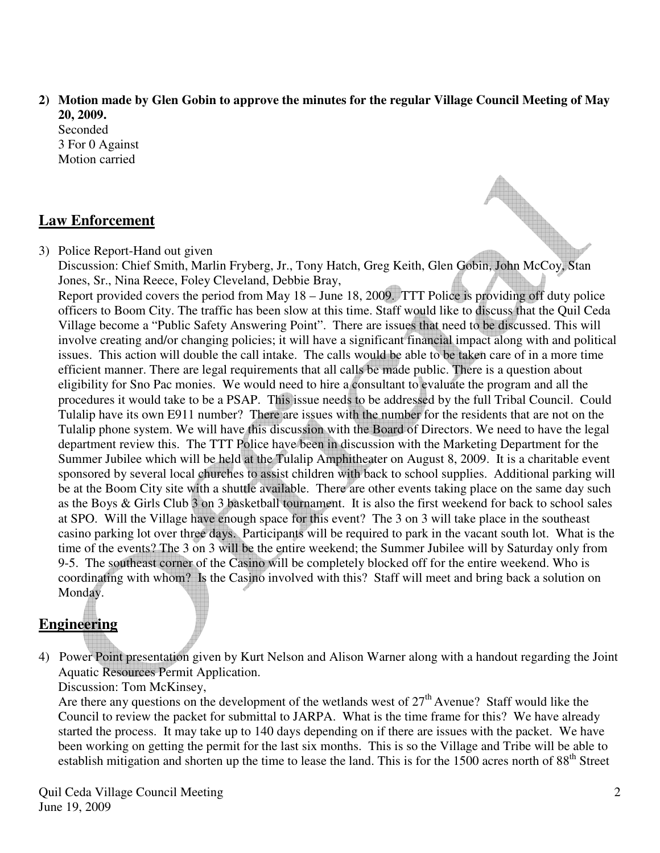**2) Motion made by Glen Gobin to approve the minutes for the regular Village Council Meeting of May 20, 2009.** 

Seconded 3 For 0 Against Motion carried

## **Law Enforcement**

3) Police Report-Hand out given

Discussion: Chief Smith, Marlin Fryberg, Jr., Tony Hatch, Greg Keith, Glen Gobin, John McCoy, Stan Jones, Sr., Nina Reece, Foley Cleveland, Debbie Bray,

Report provided covers the period from May 18 – June 18, 2009. TTT Police is providing off duty police officers to Boom City. The traffic has been slow at this time. Staff would like to discuss that the Quil Ceda Village become a "Public Safety Answering Point". There are issues that need to be discussed. This will involve creating and/or changing policies; it will have a significant financial impact along with and political issues. This action will double the call intake. The calls would be able to be taken care of in a more time efficient manner. There are legal requirements that all calls be made public. There is a question about eligibility for Sno Pac monies. We would need to hire a consultant to evaluate the program and all the procedures it would take to be a PSAP. This issue needs to be addressed by the full Tribal Council. Could Tulalip have its own E911 number? There are issues with the number for the residents that are not on the Tulalip phone system. We will have this discussion with the Board of Directors. We need to have the legal department review this. The TTT Police have been in discussion with the Marketing Department for the Summer Jubilee which will be held at the Tulalip Amphitheater on August 8, 2009. It is a charitable event sponsored by several local churches to assist children with back to school supplies. Additional parking will be at the Boom City site with a shuttle available. There are other events taking place on the same day such as the Boys & Girls Club 3 on 3 basketball tournament. It is also the first weekend for back to school sales at SPO. Will the Village have enough space for this event? The 3 on 3 will take place in the southeast casino parking lot over three days. Participants will be required to park in the vacant south lot. What is the time of the events? The 3 on 3 will be the entire weekend; the Summer Jubilee will by Saturday only from 9-5. The southeast corner of the Casino will be completely blocked off for the entire weekend. Who is coordinating with whom? Is the Casino involved with this? Staff will meet and bring back a solution on Monday.

# **Engineering**

4) Power Point presentation given by Kurt Nelson and Alison Warner along with a handout regarding the Joint Aquatic Resources Permit Application.

Discussion: Tom McKinsey,

Are there any questions on the development of the wetlands west of  $27<sup>th</sup>$  Avenue? Staff would like the Council to review the packet for submittal to JARPA. What is the time frame for this? We have already started the process. It may take up to 140 days depending on if there are issues with the packet. We have been working on getting the permit for the last six months. This is so the Village and Tribe will be able to establish mitigation and shorten up the time to lease the land. This is for the 1500 acres north of 88<sup>th</sup> Street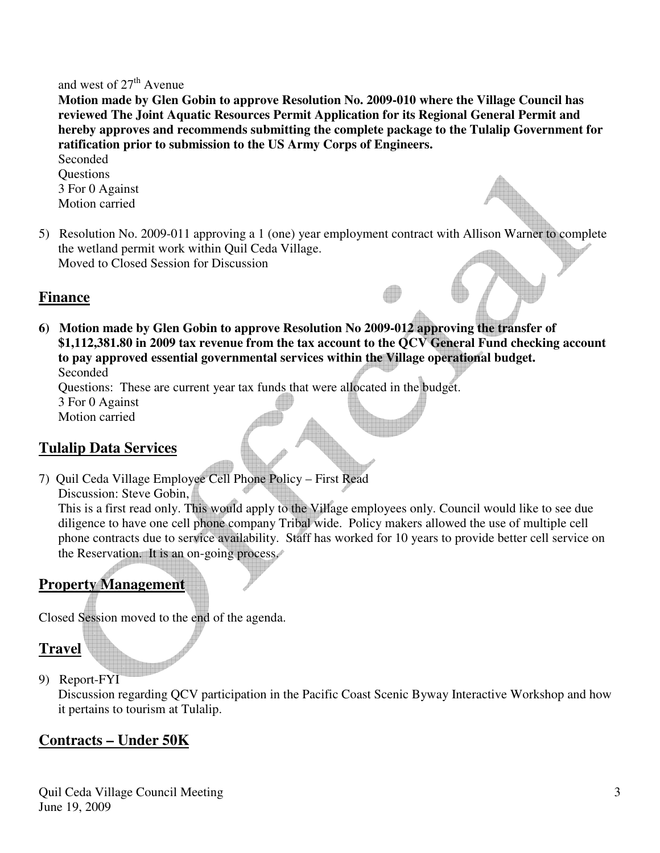#### and west of  $27<sup>th</sup>$  Avenue

 **Motion made by Glen Gobin to approve Resolution No. 2009-010 where the Village Council has reviewed The Joint Aquatic Resources Permit Application for its Regional General Permit and hereby approves and recommends submitting the complete package to the Tulalip Government for ratification prior to submission to the US Army Corps of Engineers.** 

 Seconded **Ouestions**  3 For 0 Against Motion carried

5) Resolution No. 2009-011 approving a 1 (one) year employment contract with Allison Warner to complete the wetland permit work within Quil Ceda Village. Moved to Closed Session for Discussion

#### **Finance**

**6) Motion made by Glen Gobin to approve Resolution No 2009-012 approving the transfer of \$1,112,381.80 in 2009 tax revenue from the tax account to the QCV General Fund checking account to pay approved essential governmental services within the Village operational budget.**  Seconded

Questions: These are current year tax funds that were allocated in the budget.

3 For 0 Against

Motion carried

## **Tulalip Data Services**

7) Quil Ceda Village Employee Cell Phone Policy – First Read Discussion: Steve Gobin,

 This is a first read only. This would apply to the Village employees only. Council would like to see due diligence to have one cell phone company Tribal wide. Policy makers allowed the use of multiple cell phone contracts due to service availability. Staff has worked for 10 years to provide better cell service on the Reservation. It is an on-going process.

# **Property Management**

Closed Session moved to the end of the agenda.

### **Travel**

9) Report-FYI

Discussion regarding QCV participation in the Pacific Coast Scenic Byway Interactive Workshop and how it pertains to tourism at Tulalip.

### **Contracts – Under 50K**

Quil Ceda Village Council Meeting June 19, 2009